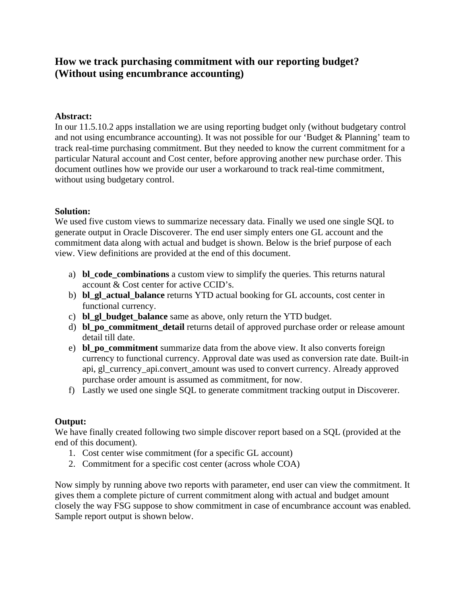# **How we track purchasing commitment with our reporting budget? (Without using encumbrance accounting)**

### **Abstract:**

In our 11.5.10.2 apps installation we are using reporting budget only (without budgetary control and not using encumbrance accounting). It was not possible for our 'Budget & Planning' team to track real-time purchasing commitment. But they needed to know the current commitment for a particular Natural account and Cost center, before approving another new purchase order. This document outlines how we provide our user a workaround to track real-time commitment, without using budgetary control.

### **Solution:**

We used five custom views to summarize necessary data. Finally we used one single SQL to generate output in Oracle Discoverer. The end user simply enters one GL account and the commitment data along with actual and budget is shown. Below is the brief purpose of each view. View definitions are provided at the end of this document.

- a) **bl\_code\_combinations** a custom view to simplify the queries. This returns natural account & Cost center for active CCID's.
- b) **bl\_gl\_actual\_balance** returns YTD actual booking for GL accounts, cost center in functional currency.
- c) **bl\_gl\_budget\_balance** same as above, only return the YTD budget.
- d) **bl\_po\_commitment\_detail** returns detail of approved purchase order or release amount detail till date.
- e) **bl\_po\_commitment** summarize data from the above view. It also converts foreign currency to functional currency. Approval date was used as conversion rate date. Built-in api, gl\_currency\_api.convert\_amount was used to convert currency. Already approved purchase order amount is assumed as commitment, for now.
- f) Lastly we used one single SQL to generate commitment tracking output in Discoverer.

## **Output:**

We have finally created following two simple discover report based on a SQL (provided at the end of this document).

- 1. Cost center wise commitment (for a specific GL account)
- 2. Commitment for a specific cost center (across whole COA)

Now simply by running above two reports with parameter, end user can view the commitment. It gives them a complete picture of current commitment along with actual and budget amount closely the way FSG suppose to show commitment in case of encumbrance account was enabled. Sample report output is shown below.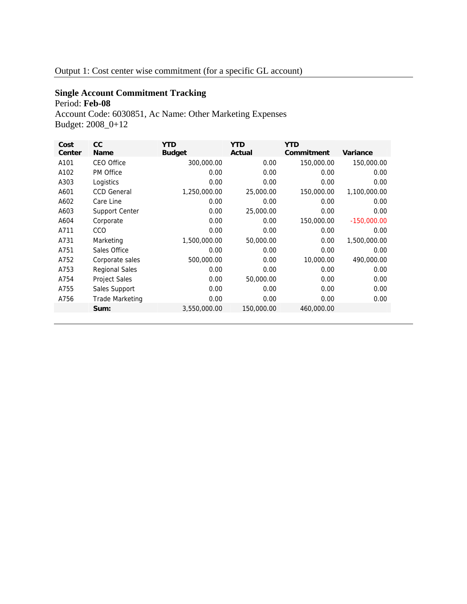# **Single Account Commitment Tracking**  Period: **Feb-08**

Account Code: 6030851, Ac Name: Other Marketing Expenses Budget: 2008\_0+12

| Cost<br>Center | cc<br><b>Name</b>     | <b>YTD</b><br><b>Budget</b> | <b>YTD</b><br>Actual | <b>YTD</b><br>Commitment | Variance      |
|----------------|-----------------------|-----------------------------|----------------------|--------------------------|---------------|
| A101           | <b>CEO Office</b>     | 300,000.00                  | 0.00                 | 150,000.00               | 150,000.00    |
| A102           | <b>PM Office</b>      | 0.00                        | 0.00                 | 0.00                     | 0.00          |
| A303           | Logistics             | 0.00                        | 0.00                 | 0.00                     | 0.00          |
| A601           | <b>CCD General</b>    | 1,250,000.00                | 25,000.00            | 150,000.00               | 1,100,000.00  |
| A602           | Care Line             | 0.00                        | 0.00                 | 0.00                     | 0.00          |
| A603           | Support Center        | 0.00                        | 25,000.00            | 0.00                     | 0.00          |
| A604           | Corporate             | 0.00                        | 0.00                 | 150,000.00               | $-150,000.00$ |
| A711           | <b>CCO</b>            | 0.00                        | 0.00                 | 0.00                     | 0.00          |
| A731           | Marketing             | 1,500,000.00                | 50,000.00            | 0.00                     | 1,500,000.00  |
| A751           | Sales Office          | 0.00                        | 0.00                 | 0.00                     | 0.00          |
| A752           | Corporate sales       | 500,000.00                  | 0.00                 | 10,000.00                | 490,000.00    |
| A753           | <b>Regional Sales</b> | 0.00                        | 0.00                 | 0.00                     | 0.00          |
| A754           | <b>Project Sales</b>  | 0.00                        | 50,000.00            | 0.00                     | 0.00          |
| A755           | Sales Support         | 0.00                        | 0.00                 | 0.00                     | 0.00          |
| A756           | Trade Marketing       | 0.00                        | 0.00                 | 0.00                     | 0.00          |
|                | Sum:                  | 3,550,000.00                | 150,000.00           | 460,000.00               |               |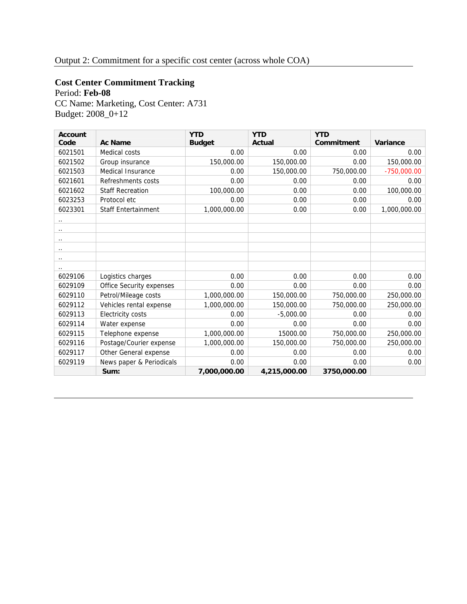# **Cost Center Commitment Tracking**

Period: **Feb-08**

CC Name: Marketing, Cost Center: A731 Budget: 2008\_0+12

| <b>Account</b>       |                            | <b>YTD</b>    | <b>YTD</b>   | <b>YTD</b>  |               |
|----------------------|----------------------------|---------------|--------------|-------------|---------------|
| Code                 | <b>Ac Name</b>             | <b>Budget</b> | Actual       | Commitment  | Variance      |
| 6021501              | Medical costs              | 0.00          | 0.00         | 0.00        | 0.00          |
| 6021502              | Group insurance            | 150,000.00    | 150,000.00   | 0.00        | 150,000.00    |
| 6021503              | Medical Insurance          | 0.00          | 150,000.00   | 750,000.00  | $-750,000.00$ |
| 6021601              | Refreshments costs         | 0.00          | 0.00         | 0.00        | 0.00          |
| 6021602              | <b>Staff Recreation</b>    | 100,000.00    | 0.00         | 0.00        | 100,000.00    |
| 6023253              | Protocol etc               | 0.00          | 0.00         | 0.00        | 0.00          |
| 6023301              | <b>Staff Entertainment</b> | 1,000,000.00  | 0.00         | 0.00        | 1,000,000.00  |
| . .                  |                            |               |              |             |               |
| $\ddot{\phantom{0}}$ |                            |               |              |             |               |
| $\ddot{\phantom{0}}$ |                            |               |              |             |               |
| $\ddot{\phantom{0}}$ |                            |               |              |             |               |
| $\ddot{\phantom{0}}$ |                            |               |              |             |               |
| . .                  |                            |               |              |             |               |
| 6029106              | Logistics charges          | 0.00          | 0.00         | 0.00        | 0.00          |
| 6029109              | Office Security expenses   | 0.00          | 0.00         | 0.00        | 0.00          |
| 6029110              | Petrol/Mileage costs       | 1,000,000.00  | 150,000.00   | 750,000.00  | 250,000.00    |
| 6029112              | Vehicles rental expense    | 1,000,000.00  | 150,000.00   | 750,000.00  | 250,000.00    |
| 6029113              | <b>Electricity costs</b>   | 0.00          | $-5.000.00$  | 0.00        | 0.00          |
| 6029114              | Water expense              | 0.00          | 0.00         | 0.00        | 0.00          |
| 6029115              | Telephone expense          | 1,000,000.00  | 15000.00     | 750,000.00  | 250,000.00    |
| 6029116              | Postage/Courier expense    | 1,000,000.00  | 150,000.00   | 750,000.00  | 250,000.00    |
| 6029117              | Other General expense      | 0.00          | 0.00         | 0.00        | 0.00          |
| 6029119              | News paper & Periodicals   | 0.00          | 0.00         | 0.00        | 0.00          |
|                      | Sum:                       | 7,000,000.00  | 4,215,000.00 | 3750,000.00 |               |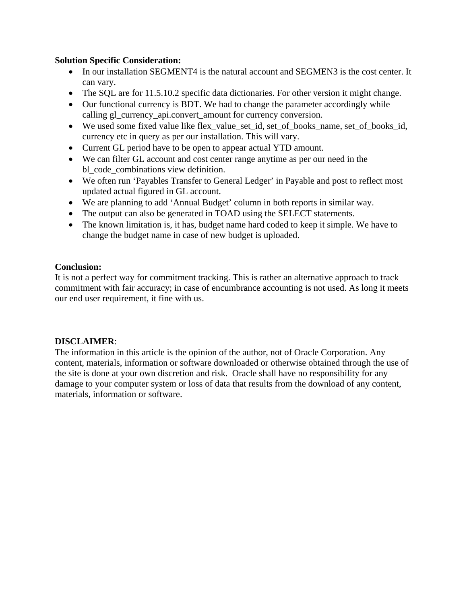### **Solution Specific Consideration:**

- In our installation SEGMENT4 is the natural account and SEGMEN3 is the cost center. It can vary.
- The SQL are for 11.5.10.2 specific data dictionaries. For other version it might change.
- Our functional currency is BDT. We had to change the parameter accordingly while calling gl\_currency\_api.convert\_amount for currency conversion.
- We used some fixed value like flex value set id, set of books name, set of books id, currency etc in query as per our installation. This will vary.
- Current GL period have to be open to appear actual YTD amount.
- We can filter GL account and cost center range anytime as per our need in the bl\_code\_combinations view definition.
- We often run 'Payables Transfer to General Ledger' in Payable and post to reflect most updated actual figured in GL account.
- We are planning to add 'Annual Budget' column in both reports in similar way.
- The output can also be generated in TOAD using the SELECT statements.
- The known limitation is, it has, budget name hard coded to keep it simple. We have to change the budget name in case of new budget is uploaded.

### **Conclusion:**

It is not a perfect way for commitment tracking. This is rather an alternative approach to track commitment with fair accuracy; in case of encumbrance accounting is not used. As long it meets our end user requirement, it fine with us.

## **DISCLAIMER**:

The information in this article is the opinion of the author, not of Oracle Corporation. Any content, materials, information or software downloaded or otherwise obtained through the use of the site is done at your own discretion and risk. Oracle shall have no responsibility for any damage to your computer system or loss of data that results from the download of any content, materials, information or software.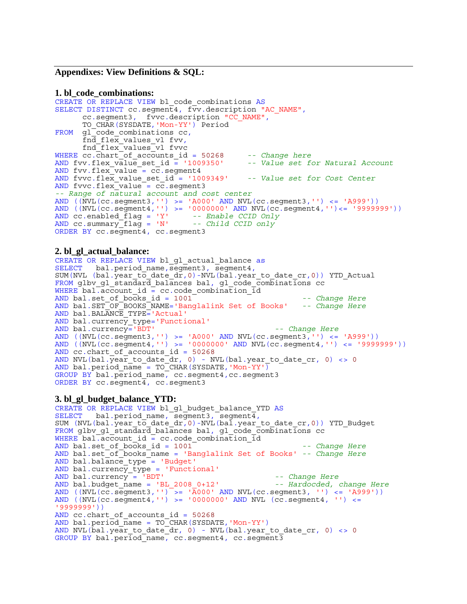#### **Appendixes: View Definitions & SQL:**

#### **1. bl\_code\_combinations:**

```
CREATE OR REPLACE VIEW bl_code_combinations AS
SELECT DISTINCT cc.segment4, fvv.description "AC_NAME",<br>cc.segment3, fvvc.description "CC_NAME",<br>TO_CHAR(SYSDATE,'Mon-YY') Period
FROM gl_code_combinations cc,<br>fnd_flex_values_vl fvv,<br>fnd_flex_values_vl fvvc
WHERE cc.chart<sup>-of</sup>_accounts_id = 50268  -- Change here<br>AND fvv.flex value set id = '1009350'  -- Value set for Natural Account
AND fvv.flex value set id = '1009350'
AND fvv.flex value = c\overline{c}. segment4
AND fvvc.flex_value_set_id = '1009349' -- Value set for Cost Center
AND fvvc.flex_value = cc.segment3 
-- Range of natural account and cost center 
AND ((NVL(cc.segment3,'') >= 'A000' AND NVL(cc.segment3,'') <= 'A999'))
AND ((NVL(cc.segment4,'') >= '0000000' AND NVL(cc.segment4,'')<= '9999999'))
AND cc.enabled_flag = 'Y' -- Enable CCID Only
AND cc.summary_flag = 'N' -- Child CCID only
ORDER BY cc.segment4, cc.segment3
```
#### **2. bl\_gl\_actual\_balance:**

```
CREATE OR REPLACE VIEW bl_gl_actual_balance as<br>SELECT bal.period name,seqment3, seqment4,
SELECT bal.period_name,segment3, segment4,<br>SUM(NVL (bal.year_to_date_dr,0)-NVL(bal.year_to_date_cr,0)) YTD_Actual
FROM glbv gl standard balances bal, gl code combinations cc
WHERE bal.account id = cc.code combination idAND bal.set_of_books_id = 1001 -- Change Here
AND bal.SET_OF_BOOKS_NAME='Banglalink Set of Books' -- Change Here
AND bal.BALANCE TYPE='Actual'
AND bal.currency_type='Functional'
AND bal.currency='BDT' -- Change Here
AND ((\text{NVL}(\text{cc}.\text{segment3}, \cdot)) \geq -\text{'}A000' \text{ AND } \text{NVL}(\text{cc}.\text{segment3}, \cdot)) \leq -\text{'}A999'))AND ((NVL(cc.segment4,'') >= '0000000' AND NVL(cc.segment4,'') <= '9999999'))
AND cc.chart of accounts id = 50268
AND NVL(bal.year to date dr, 0) - NVL(bal.year to date cr, 0) <> 0
AND bal.period_name = TO_CHAR(SYSDATE, 'Mon-YY')
GROUP BY bal.period_name, cc.segment4,cc.segment3 
ORDER BY cc.\text{segment}\overline{4}, cc.\text{segment}3
```
#### **3. bl\_gl\_budget\_balance\_YTD:**

```
CREATE OR REPLACE VIEW bl_gl_budget_balance_YTD AS<br>SELECT bal.period name, segment3, segment4,
SUM (NVL(bal.year_to_date_dr,0)-NVL(bal.year_to_date_cr,0)) YTD_Budget
FROM glbv gl standard balances bal, gl code combinations cc
WHERE bal.account id = cc.co combination idAND bal.set_of_books_id = 1001 -- Change Here
AND bal.set_of_books_name = 'Banglalink Set of Books' -- Change Here
AND bal.balance_type = 'Budget'
AND bal.currency_type = 'Functional'
AND bal.currency = 'BDT' -- Change Here
AND bal.budget_name = 'BL_2008_0+12' -- Hardocded, change Here
AND ((NVL(cc.segment3,'') \bar{A} >= 'A000' AND NVL(cc.segment3, '') <= 'A999'))
AND ((NVL(cc.segment4,'') >= '0000000' AND NVL (cc.segment4, '') <=
'9999999'))
AND cc.chart_of_accounts_id = 50268
AND bal.period \overline{n}ame = TO<sup>_</sup>CHAR(SYSDATE, 'Mon-YY')
AND NVL(bal.year to date dr, 0) - NVL(bal.year to date cr, 0) <> 0
GROUP BY bal.period_name, cc.segment4, cc.segment3
```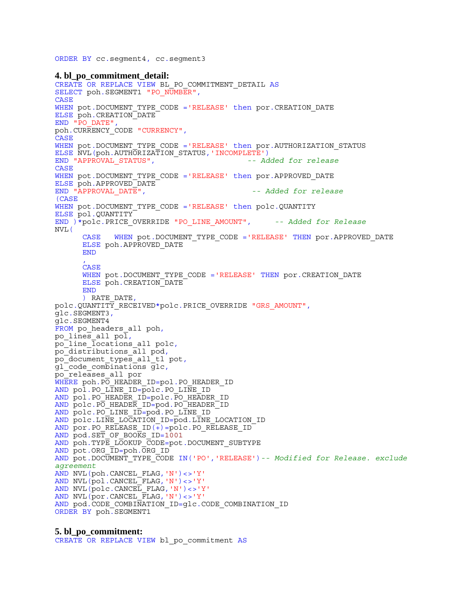ORDER BY cc.segment4, cc.segment3

**4. bl\_po\_commitment\_detail:**  CREATE OR REPLACE VIEW BL\_PO\_COMMITMENT\_DETAIL AS SELECT poh.SEGMENT1 "PO\_NUMBER", **CASE** WHEN pot.DOCUMENT TYPE CODE ='RELEASE' then por.CREATION DATE ELSE poh.CREATION\_DATE<br>END "PO DATE", POH.CURRENCY\_CODE "CURRENCY", CASE WHEN pot.DOCUMENT TYPE CODE ='RELEASE' then por.AUTHORIZATION STATUS ELSE NVL(poh.AUTHORIZATION\_STATUS,'INCOMPLETE') END "APPROVAL\_STATUS", *-- Added for release* CASE WHEN pot.DOCUMENT TYPE CODE ='RELEASE' then por.APPROVED DATE ELSE poh.APPROVED\_DATE END "APPROVAL\_DATE", *-- Added for release*  (CASE WHEN pot.DOCUMENT TYPE CODE ='RELEASE' then polc.QUANTITY ELSE pol.QUANTITY END )\*polc.PRICE\_OVERRIDE "PO\_LINE\_AMOUNT", *-- Added for Release* NVL(<br>CASE WHEN pot.DOCUMENT\_TYPE\_CODE ='RELEASE' THEN por.APPROVED\_DATE ELSE poh.APPROVED\_DATE **END** , CASE WHEN pot.DOCUMENT TYPE CODE ='RELEASE' THEN por.CREATION DATE ELSE poh.CREATION\_DATE END ) RATE\_DATE, polc.QUANTITY\_RECEIVED\*polc.PRICE\_OVERRIDE "GRS\_AMOUNT", glc.SEGMENT3, glc.SEGMENT4 FROM po\_headers\_all poh,<br>po\_lines\_all pol, po\_line\_locations\_all polc, po\_distributions\_all pod, po\_document\_types\_all\_tl pot, gl\_code\_combinations glc,<br>po\_releases\_all por WHERE poh.PO HEADER ID=pol.PO HEADER ID AND pol.PO LINE ID=polc.PO LINE ID AND pol.PO\_HEADER ID=polc.PO\_HEADER\_ID AND polc.PO HEADER ID=pod.PO HEADER ID AND polc.PO LINE ID=pod.PO LINE ID AND polc.LINE LOCATION ID=pod.LINE LOCATION ID AND por.PO RELEASE  $ID(+) = pole.PO$  RELEASE ID AND pod.SET\_OF\_BOOKS\_ID=1001 AND poh.TYPE LOOKUP CODE=pot.DOCUMENT SUBTYPE AND pot.ORG\_ID=poh.ORG\_ID AND pot.DOCUMENT\_TYPE\_CODE IN('PO','RELEASE')*-- Modified for Release. exclude agreement* AND NVL(poh.CANCEL\_FLAG,'N')<>'Y' AND NVL(pol.CANCEL\_FLAG,'N')<>'Y' AND NVL(polc.CANCEL\_FLAG,'N')<>'Y' AND NVL(por.CANCEL\_FLAG,'N')<>'Y' AND pod.CODE COMBINATION ID=glc.CODE COMBINATION ID ORDER BY poh. SEGMENT1

#### **5. bl\_po\_commitment:**  CREATE OR REPLACE VIEW bl po commitment AS